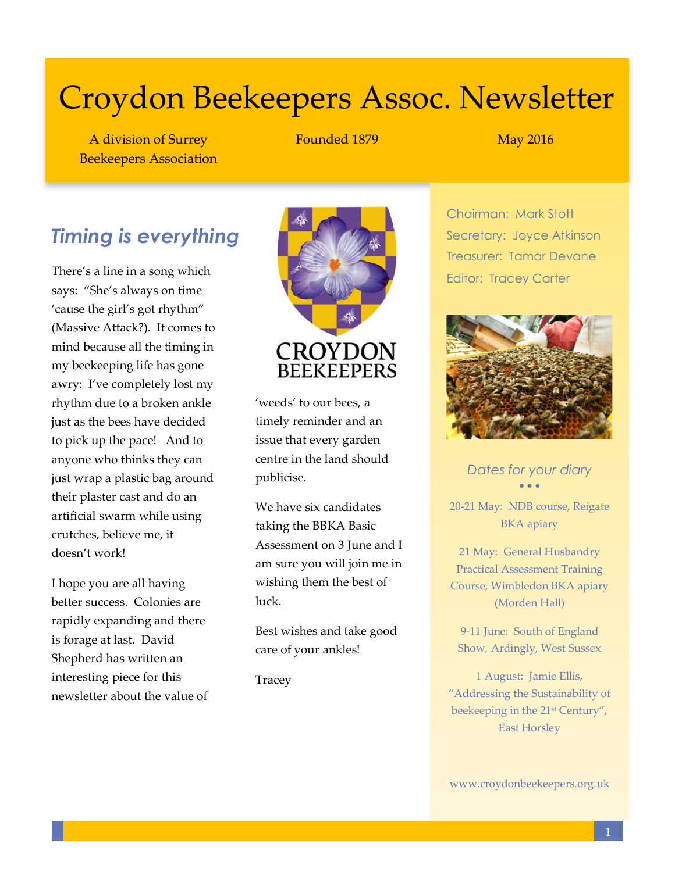# Croydon Beekeepers Assoc. Newsletter

A division of Surrey Beekeepers Association Founded 1879 May 2016

# *Timing is everything*

There's a line in a song which says: "She's always on time 'cause the girl's got rhythm" (Massive Attack?). It comes to mind because all the timing in my beekeeping life has gone awry: I've completely lost my rhythm due to a broken ankle just as the bees have decided to pick up the pace! And to anyone who thinks they can just wrap a plastic bag around their plaster cast and do an artificial swarm while using crutches, believe me, it doesn't work!

I hope you are all having better success. Colonies are rapidly expanding and there is forage at last. David Shepherd has written an interesting piece for this newsletter about the value of



'weeds' to our bees, a timely reminder and an issue that every garden centre in the land should publicise.

We have six candidates taking the BBKA Basic Assessment on 3 June and I am sure you will join me in wishing them the best of luck.

Best wishes and take good care of your ankles!

Tracey

Chairman: Mark Stott Secretary: Joyce Atkinson Treasurer: Tamar Devane Editor: Tracey Carter



*Dates for your diary*  $\bullet$   $\bullet$   $\bullet$ 

20-21 May: NDB course, Reigate BKA apiary

21 May: General Husbandry Practical Assessment Training Course, Wimbledon BKA apiary (Morden Hall)

9-11 June: South of England Show, Ardingly, West Sussex

1 August: Jamie Ellis, "Addressing the Sustainability of beekeeping in the 21st Century", East Horsley

www.croydonbeekeepers.org.uk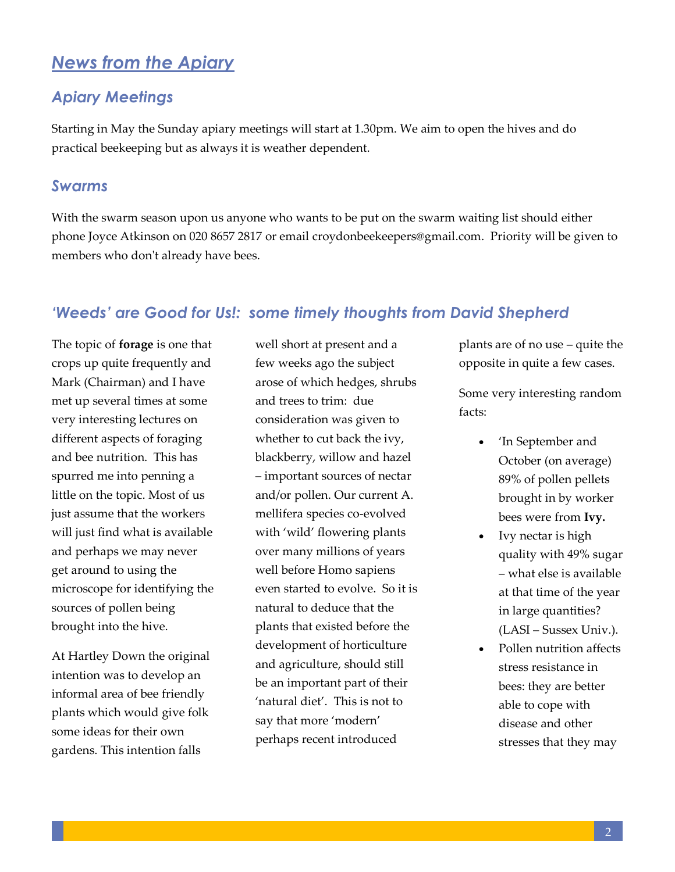## *News from the Apiary*

### *Apiary Meetings*

Starting in May the Sunday apiary meetings will start at 1.30pm. We aim to open the hives and do practical beekeeping but as always it is weather dependent.

#### *Swarms*

With the swarm season upon us anyone who wants to be put on the swarm waiting list should either phone Joyce Atkinson on 020 8657 2817 or email [croydonbeekeepers@gmail.com.](mailto:croydonbeekeepers@gmail.com) Priority will be given to members who don't already have bees.

#### *'Weeds' are Good for Us!: some timely thoughts from David Shepherd*

The topic of **forage** is one that crops up quite frequently and Mark (Chairman) and I have met up several times at some very interesting lectures on different aspects of foraging and bee nutrition. This has spurred me into penning a little on the topic. Most of us just assume that the workers will just find what is available and perhaps we may never get around to using the microscope for identifying the sources of pollen being brought into the hive.

At Hartley Down the original intention was to develop an informal area of bee friendly plants which would give folk some ideas for their own gardens. This intention falls

well short at present and a few weeks ago the subject arose of which hedges, shrubs and trees to trim: due consideration was given to whether to cut back the ivy, blackberry, willow and hazel – important sources of nectar and/or pollen. Our current A. mellifera species co-evolved with 'wild' flowering plants over many millions of years well before Homo sapiens even started to evolve. So it is natural to deduce that the plants that existed before the development of horticulture and agriculture, should still be an important part of their 'natural diet'. This is not to say that more 'modern' perhaps recent introduced

plants are of no use – quite the opposite in quite a few cases.

Some very interesting random facts:

- 'In September and October (on average) 89% of pollen pellets brought in by worker bees were from **Ivy.**
- Ivy nectar is high quality with 49% sugar – what else is available at that time of the year in large quantities? (LASI – Sussex Univ.).
- Pollen nutrition affects stress resistance in bees: they are better able to cope with disease and other stresses that they may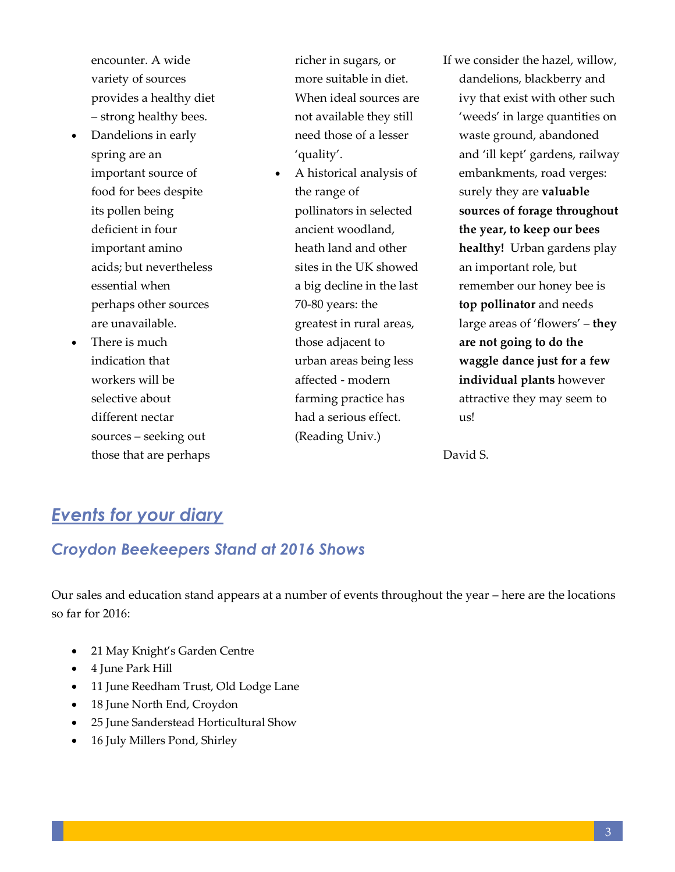encounter. A wide variety of sources provides a healthy diet – strong healthy bees.

- Dandelions in early spring are an important source of food for bees despite its pollen being deficient in four important amino acids; but nevertheless essential when perhaps other sources are unavailable.
- There is much indication that workers will be selective about different nectar sources – seeking out those that are perhaps

richer in sugars, or more suitable in diet. When ideal sources are not available they still need those of a lesser 'quality'.

 A historical analysis of the range of pollinators in selected ancient woodland, heath land and other sites in the UK showed a big decline in the last 70-80 years: the greatest in rural areas, those adjacent to urban areas being less affected - modern farming practice has had a serious effect. (Reading Univ.)

If we consider the hazel, willow, dandelions, blackberry and ivy that exist with other such 'weeds' in large quantities on waste ground, abandoned and 'ill kept' gardens, railway embankments, road verges: surely they are **valuable sources of forage throughout the year, to keep our bees healthy!** Urban gardens play an important role, but remember our honey bee is **top pollinator** and needs large areas of 'flowers' – **they are not going to do the waggle dance just for a few individual plants** however attractive they may seem to us!

David S.

# *Events for your diary*

## *Croydon Beekeepers Stand at 2016 Shows*

Our sales and education stand appears at a number of events throughout the year – here are the locations so far for 2016:

- 21 May Knight's Garden Centre
- 4 June Park Hill
- 11 June Reedham Trust, Old Lodge Lane
- 18 June North End, Croydon
- 25 June Sanderstead Horticultural Show
- 16 July Millers Pond, Shirley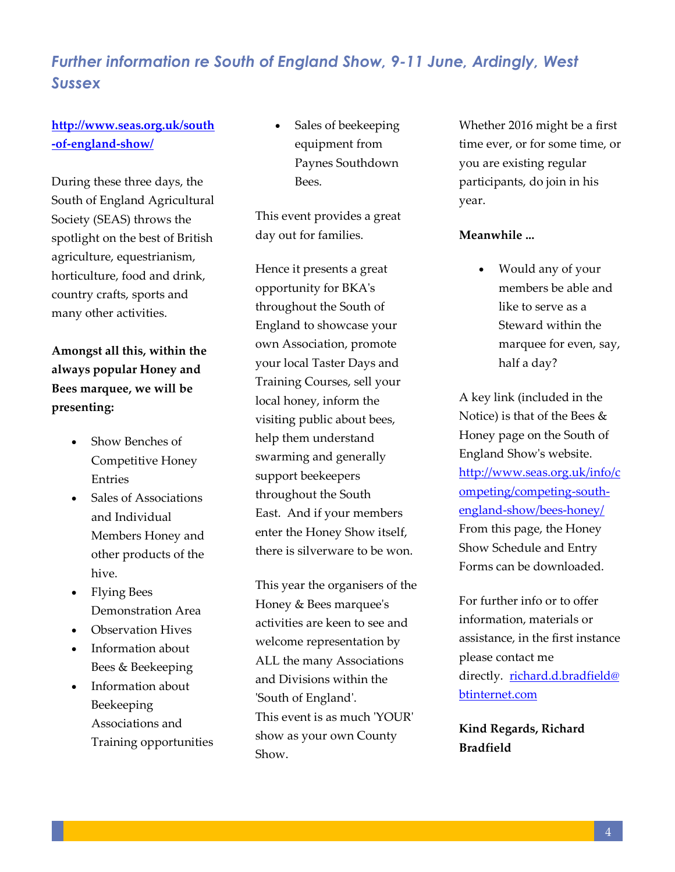## *Further information re South of England Show, 9-11 June, Ardingly, West Sussex*

### **[http://www.seas.org.uk/south](http://www.seas.org.uk/south-of-england-show/) [-of-england-show/](http://www.seas.org.uk/south-of-england-show/)**

During these three days, the South of England Agricultural Society (SEAS) throws the spotlight on the best of British agriculture, equestrianism, horticulture, food and drink, country crafts, sports and many other activities.

## **Amongst all this, within the always popular Honey and Bees marquee, we will be presenting:**

- Show Benches of Competitive Honey Entries
- Sales of Associations and Individual Members Honey and other products of the hive.
- Flying Bees Demonstration Area
- Observation Hives
- Information about Bees & Beekeeping
- Information about Beekeeping Associations and Training opportunities

 Sales of beekeeping equipment from Paynes Southdown Bees.

This event provides a great day out for families.

Hence it presents a great opportunity for BKA's throughout the South of England to showcase your own Association, promote your local Taster Days and Training Courses, sell your local honey, inform the visiting public about bees, help them understand swarming and generally support beekeepers throughout the South East. And if your members enter the Honey Show itself, there is silverware to be won.

This year the organisers of the Honey & Bees marquee's activities are keen to see and welcome representation by ALL the many Associations and Divisions within the 'South of England'. This event is as much 'YOUR' show as your own County Show.

Whether 2016 might be a first time ever, or for some time, or you are existing regular participants, do join in his year.

#### **Meanwhile ...**

 Would any of your members be able and like to serve as a Steward within the marquee for even, say, half a day?

A key link (included in the Notice) is that of the Bees & Honey page on the South of England Show's website. [http://www.seas.org.uk/info/c](http://www.seas.org.uk/info/competing/competing-south-england-show/bees-honey/) [ompeting/competing-south](http://www.seas.org.uk/info/competing/competing-south-england-show/bees-honey/)[england-show/bees-honey/](http://www.seas.org.uk/info/competing/competing-south-england-show/bees-honey/) From this page, the Honey Show Schedule and Entry Forms can be downloaded.

For further info or to offer information, materials or assistance, in the first instance please contact me directly. [richard.d.bradfield@](mailto:richard.d.bradfield@btinternet.com) [btinternet.com](mailto:richard.d.bradfield@btinternet.com)

**Kind Regards, Richard Bradfield**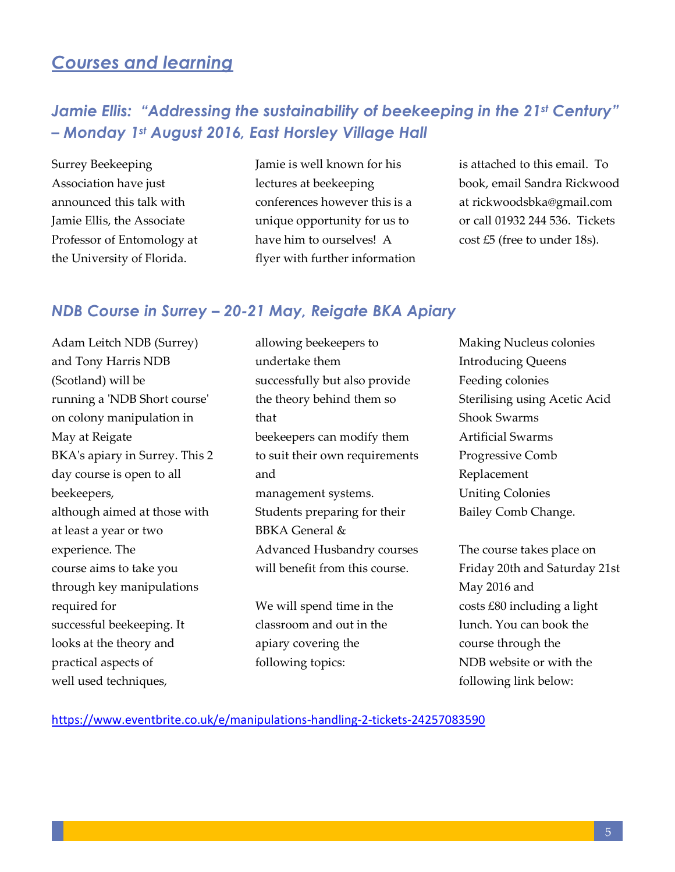## *Courses and learning*

## *Jamie Ellis: "Addressing the sustainability of beekeeping in the 21<sup>st</sup> Century" – Monday 1st August 2016, East Horsley Village Hall*

Surrey Beekeeping Association have just announced this talk with Jamie Ellis, the Associate Professor of Entomology at the University of Florida.

Jamie is well known for his lectures at beekeeping conferences however this is a unique opportunity for us to have him to ourselves! A flyer with further information is attached to this email. To book, email Sandra Rickwood at [rickwoodsbka@gmail.com](mailto:rickwoodsbka@gmail.com) or call 01932 244 536. Tickets cost £5 (free to under 18s).

## *NDB Course in Surrey – 20-21 May, Reigate BKA Apiary*

Adam Leitch NDB (Surrey) and Tony Harris NDB (Scotland) will be running a 'NDB Short course' on colony manipulation in May at Reigate BKA's apiary in Surrey. This 2 day course is open to all beekeepers, although aimed at those with at least a year or two experience. The course aims to take you through key manipulations required for successful beekeeping. It looks at the theory and practical aspects of well used techniques,

allowing beekeepers to undertake them successfully but also provide the theory behind them so that beekeepers can modify them to suit their own requirements and management systems. Students preparing for their BBKA General & Advanced Husbandry courses will benefit from this course.

We will spend time in the classroom and out in the apiary covering the following topics:

Making Nucleus colonies Introducing Queens Feeding colonies Sterilising using Acetic Acid Shook Swarms Artificial Swarms Progressive Comb Replacement Uniting Colonies Bailey Comb Change.

The course takes place on Friday 20th and Saturday 21st May 2016 and costs £80 including a light lunch. You can book the course through the NDB website or with the following link below:

#### <https://www.eventbrite.co.uk/e/manipulations-handling-2-tickets-24257083590>